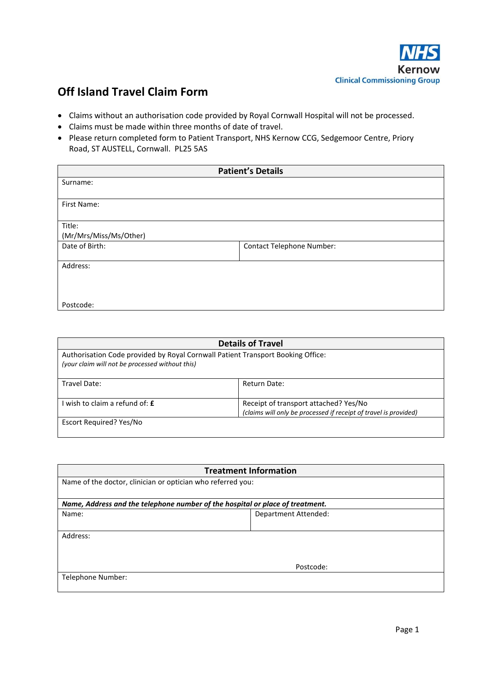

## **Off Island Travel Claim Form**

- Claims without an authorisation code provided by Royal Cornwall Hospital will not be processed.
- Claims must be made within three months of date of travel.
- Please return completed form to Patient Transport, NHS Kernow CCG, Sedgemoor Centre, Priory Road, ST AUSTELL, Cornwall. PL25 5AS

| <b>Patient's Details</b> |                                  |
|--------------------------|----------------------------------|
| Surname:                 |                                  |
|                          |                                  |
| First Name:              |                                  |
|                          |                                  |
| Title:                   |                                  |
| (Mr/Mrs/Miss/Ms/Other)   |                                  |
| Date of Birth:           | <b>Contact Telephone Number:</b> |
| Address:                 |                                  |
|                          |                                  |
|                          |                                  |
| Postcode:                |                                  |

| <b>Details of Travel</b>                                                                                                           |                                                                                                           |  |
|------------------------------------------------------------------------------------------------------------------------------------|-----------------------------------------------------------------------------------------------------------|--|
| Authorisation Code provided by Royal Cornwall Patient Transport Booking Office:<br>(your claim will not be processed without this) |                                                                                                           |  |
| Travel Date:                                                                                                                       | Return Date:                                                                                              |  |
| wish to claim a refund of: <b>£</b>                                                                                                | Receipt of transport attached? Yes/No<br>(claims will only be processed if receipt of travel is provided) |  |
| Escort Required? Yes/No                                                                                                            |                                                                                                           |  |

| <b>Treatment Information</b><br>Name of the doctor, clinician or optician who referred you: |                      |  |
|---------------------------------------------------------------------------------------------|----------------------|--|
|                                                                                             |                      |  |
| Name:                                                                                       | Department Attended: |  |
| Address:                                                                                    |                      |  |
|                                                                                             | Postcode:            |  |
| Telephone Number:                                                                           |                      |  |